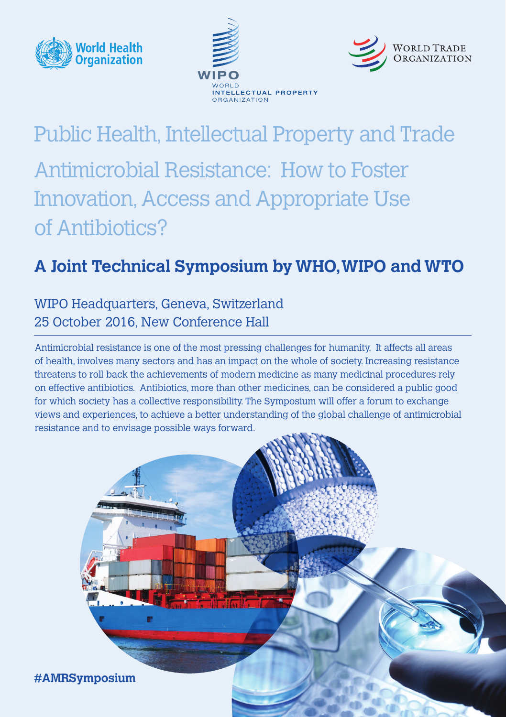





# Public Health, Intellectual Property and Trade Antimicrobial Resistance: How to Foster Innovation, Access and Appropriate Use of Antibiotics?

# **A Joint Technical Symposium by WHO, WIPO and WTO**

## WIPO Headquarters, Geneva, Switzerland 25 October 2016, New Conference Hall

Antimicrobial resistance is one of the most pressing challenges for humanity. It affects all areas of health, involves many sectors and has an impact on the whole of society. Increasing resistance threatens to roll back the achievements of modern medicine as many medicinal procedures rely on effective antibiotics. Antibiotics, more than other medicines, can be considered a public good for which society has a collective responsibility. The Symposium will offer a forum to exchange views and experiences, to achieve a better understanding of the global challenge of antimicrobial resistance and to envisage possible ways forward.

**#AMRSymposium**